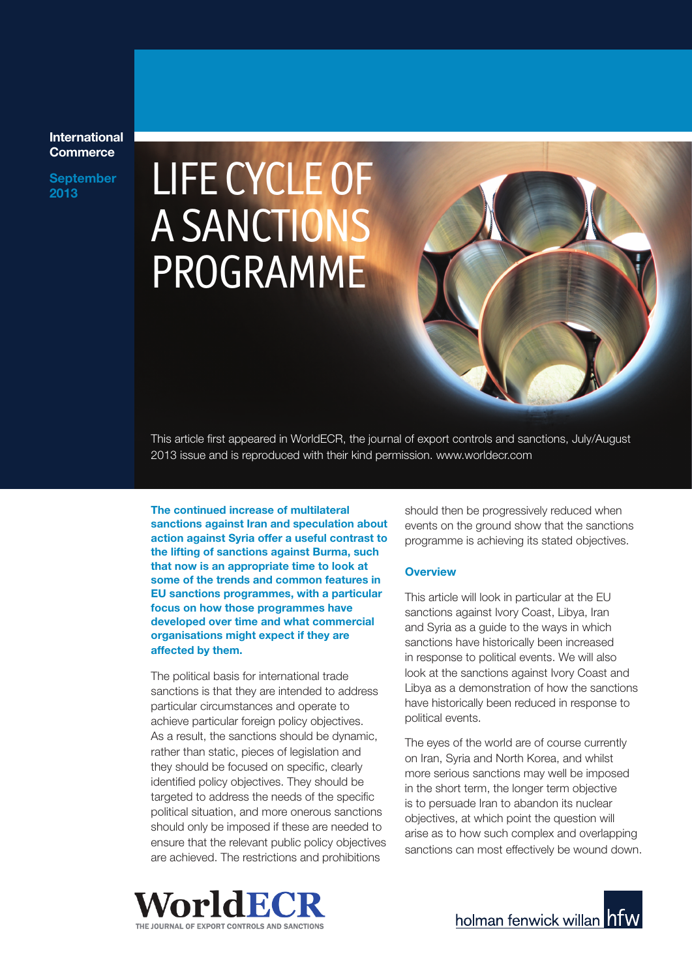### **International Commerce**

**September** 

# September LIFE CYCLE OF A SANCTIONS PROGRAMME

This article first appeared in WorldECR, the journal of export controls and sanctions, July/August 2013 issue and is reproduced with their kind permission. www.worldecr.com

**The continued increase of multilateral sanctions against Iran and speculation about action against Syria offer a useful contrast to the lifting of sanctions against Burma, such that now is an appropriate time to look at some of the trends and common features in EU sanctions programmes, with a particular focus on how those programmes have developed over time and what commercial organisations might expect if they are affected by them.**

The political basis for international trade sanctions is that they are intended to address particular circumstances and operate to achieve particular foreign policy objectives. As a result, the sanctions should be dynamic, rather than static, pieces of legislation and they should be focused on specific, clearly identified policy objectives. They should be targeted to address the needs of the specific political situation, and more onerous sanctions should only be imposed if these are needed to ensure that the relevant public policy objectives are achieved. The restrictions and prohibitions

should then be progressively reduced when events on the ground show that the sanctions programme is achieving its stated objectives.

#### **Overview**

This article will look in particular at the EU sanctions against Ivory Coast, Libya, Iran and Syria as a guide to the ways in which sanctions have historically been increased in response to political events. We will also look at the sanctions against Ivory Coast and Libya as a demonstration of how the sanctions have historically been reduced in response to political events.

The eyes of the world are of course currently on Iran, Syria and North Korea, and whilst more serious sanctions may well be imposed in the short term, the longer term objective is to persuade Iran to abandon its nuclear objectives, at which point the question will arise as to how such complex and overlapping sanctions can most effectively be wound down.



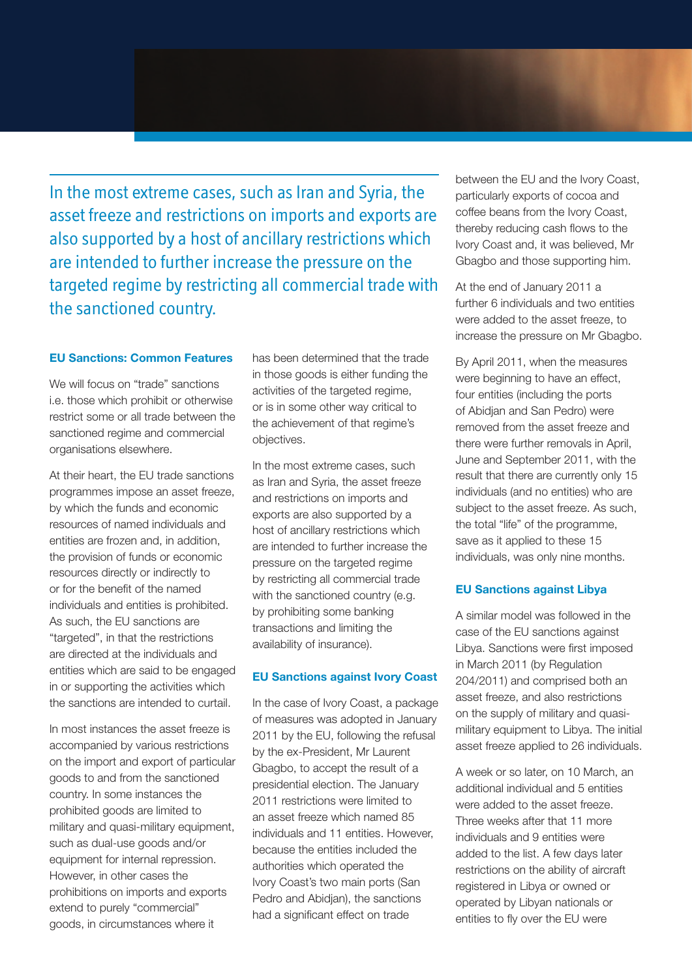In the most extreme cases, such as Iran and Syria, the asset freeze and restrictions on imports and exports are also supported by a host of ancillary restrictions which are intended to further increase the pressure on the targeted regime by restricting all commercial trade with the sanctioned country.

#### **EU Sanctions: Common Features**

We will focus on "trade" sanctions i.e. those which prohibit or otherwise restrict some or all trade between the sanctioned regime and commercial organisations elsewhere.

At their heart, the EU trade sanctions programmes impose an asset freeze, by which the funds and economic resources of named individuals and entities are frozen and, in addition, the provision of funds or economic resources directly or indirectly to or for the benefit of the named individuals and entities is prohibited. As such, the EU sanctions are "targeted", in that the restrictions are directed at the individuals and entities which are said to be engaged in or supporting the activities which the sanctions are intended to curtail.

In most instances the asset freeze is accompanied by various restrictions on the import and export of particular goods to and from the sanctioned country. In some instances the prohibited goods are limited to military and quasi-military equipment, such as dual-use goods and/or equipment for internal repression. However, in other cases the prohibitions on imports and exports extend to purely "commercial" goods, in circumstances where it

has been determined that the trade in those goods is either funding the activities of the targeted regime, or is in some other way critical to the achievement of that regime's objectives.

In the most extreme cases, such as Iran and Syria, the asset freeze and restrictions on imports and exports are also supported by a host of ancillary restrictions which are intended to further increase the pressure on the targeted regime by restricting all commercial trade with the sanctioned country (e.g. by prohibiting some banking transactions and limiting the availability of insurance).

### **EU Sanctions against Ivory Coast**

In the case of Ivory Coast, a package of measures was adopted in January 2011 by the EU, following the refusal by the ex-President, Mr Laurent Gbagbo, to accept the result of a presidential election. The January 2011 restrictions were limited to an asset freeze which named 85 individuals and 11 entities. However, because the entities included the authorities which operated the Ivory Coast's two main ports (San Pedro and Abidjan), the sanctions had a significant effect on trade

between the EU and the Ivory Coast, particularly exports of cocoa and coffee beans from the Ivory Coast, thereby reducing cash flows to the Ivory Coast and, it was believed, Mr Gbagbo and those supporting him.

At the end of January 2011 a further 6 individuals and two entities were added to the asset freeze, to increase the pressure on Mr Gbagbo.

By April 2011, when the measures were beginning to have an effect, four entities (including the ports of Abidjan and San Pedro) were removed from the asset freeze and there were further removals in April, June and September 2011, with the result that there are currently only 15 individuals (and no entities) who are subject to the asset freeze. As such, the total "life" of the programme, save as it applied to these 15 individuals, was only nine months.

#### **EU Sanctions against Libya**

A similar model was followed in the case of the EU sanctions against Libya. Sanctions were first imposed in March 2011 (by Regulation 204/2011) and comprised both an asset freeze, and also restrictions on the supply of military and quasimilitary equipment to Libya. The initial asset freeze applied to 26 individuals.

A week or so later, on 10 March, an additional individual and 5 entities were added to the asset freeze. Three weeks after that 11 more individuals and 9 entities were added to the list. A few days later restrictions on the ability of aircraft registered in Libya or owned or operated by Libyan nationals or entities to fly over the EU were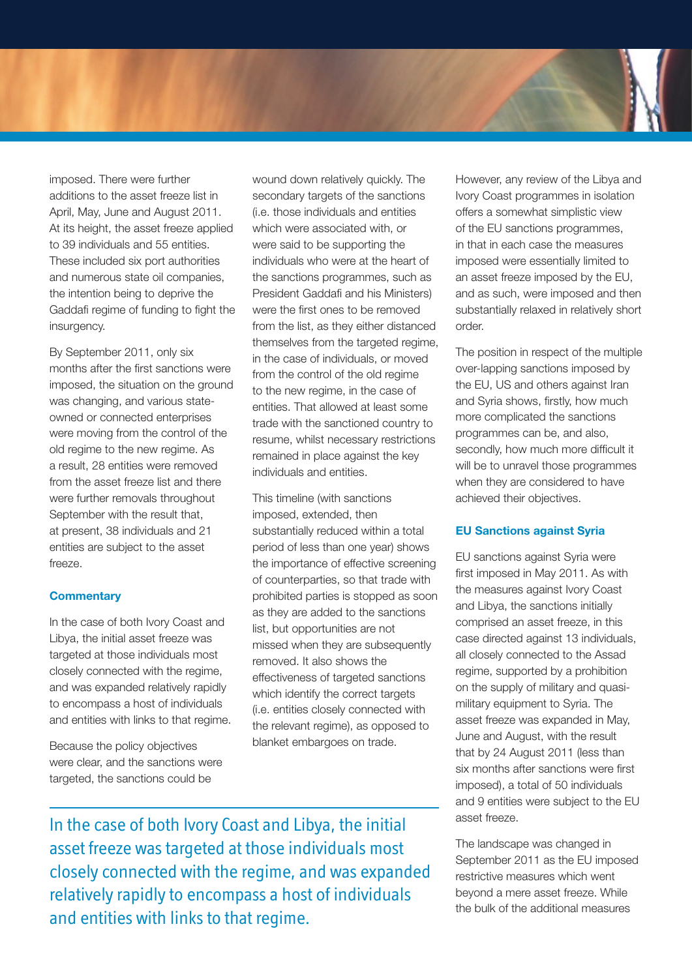

imposed. There were further additions to the asset freeze list in April, May, June and August 2011. At its height, the asset freeze applied to 39 individuals and 55 entities. These included six port authorities and numerous state oil companies, the intention being to deprive the Gaddafi regime of funding to fight the insurgency.

By September 2011, only six months after the first sanctions were imposed, the situation on the ground was changing, and various stateowned or connected enterprises were moving from the control of the old regime to the new regime. As a result, 28 entities were removed from the asset freeze list and there were further removals throughout September with the result that, at present, 38 individuals and 21 entities are subject to the asset freeze.

### **Commentary**

In the case of both Ivory Coast and Libya, the initial asset freeze was targeted at those individuals most closely connected with the regime, and was expanded relatively rapidly to encompass a host of individuals and entities with links to that regime.

Because the policy objectives were clear, and the sanctions were targeted, the sanctions could be

wound down relatively quickly. The secondary targets of the sanctions (i.e. those individuals and entities which were associated with, or were said to be supporting the individuals who were at the heart of the sanctions programmes, such as President Gaddafi and his Ministers) were the first ones to be removed from the list, as they either distanced themselves from the targeted regime, in the case of individuals, or moved from the control of the old regime to the new regime, in the case of entities. That allowed at least some trade with the sanctioned country to resume, whilst necessary restrictions remained in place against the key individuals and entities.

This timeline (with sanctions imposed, extended, then substantially reduced within a total period of less than one year) shows the importance of effective screening of counterparties, so that trade with prohibited parties is stopped as soon as they are added to the sanctions list, but opportunities are not missed when they are subsequently removed. It also shows the effectiveness of targeted sanctions which identify the correct targets (i.e. entities closely connected with the relevant regime), as opposed to blanket embargoes on trade.

However, any review of the Libya and Ivory Coast programmes in isolation offers a somewhat simplistic view of the EU sanctions programmes, in that in each case the measures imposed were essentially limited to an asset freeze imposed by the EU, and as such, were imposed and then substantially relaxed in relatively short order.

The position in respect of the multiple over-lapping sanctions imposed by the EU, US and others against Iran and Syria shows, firstly, how much more complicated the sanctions programmes can be, and also, secondly, how much more difficult it will be to unravel those programmes when they are considered to have achieved their objectives.

### **EU Sanctions against Syria**

EU sanctions against Syria were first imposed in May 2011. As with the measures against Ivory Coast and Libya, the sanctions initially comprised an asset freeze, in this case directed against 13 individuals, all closely connected to the Assad regime, supported by a prohibition on the supply of military and quasimilitary equipment to Syria. The asset freeze was expanded in May, June and August, with the result that by 24 August 2011 (less than six months after sanctions were first imposed), a total of 50 individuals and 9 entities were subject to the EU asset freeze.

The landscape was changed in September 2011 as the EU imposed restrictive measures which went beyond a mere asset freeze. While the bulk of the additional measures

In the case of both Ivory Coast and Libya, the initial asset freeze was targeted at those individuals most closely connected with the regime, and was expanded relatively rapidly to encompass a host of individuals and entities with links to that regime.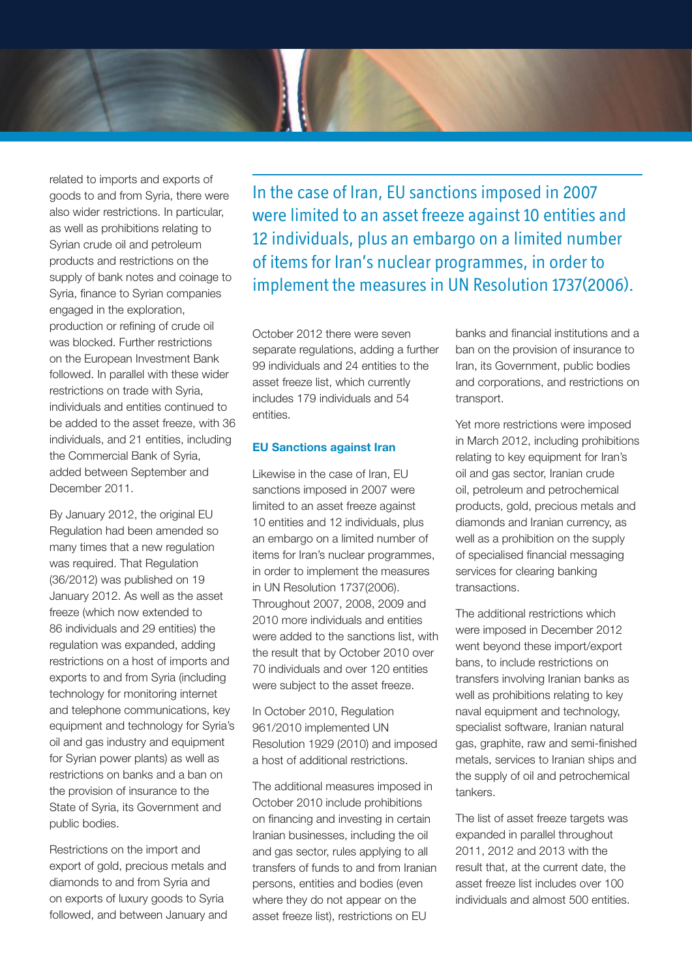

related to imports and exports of goods to and from Syria, there were also wider restrictions. In particular, as well as prohibitions relating to Syrian crude oil and petroleum products and restrictions on the supply of bank notes and coinage to Syria, finance to Syrian companies engaged in the exploration, production or refining of crude oil was blocked. Further restrictions on the European Investment Bank followed. In parallel with these wider restrictions on trade with Syria, individuals and entities continued to be added to the asset freeze, with 36 individuals, and 21 entities, including the Commercial Bank of Syria, added between September and December 2011.

By January 2012, the original EU Regulation had been amended so many times that a new regulation was required. That Regulation (36/2012) was published on 19 January 2012. As well as the asset freeze (which now extended to 86 individuals and 29 entities) the regulation was expanded, adding restrictions on a host of imports and exports to and from Syria (including technology for monitoring internet and telephone communications, key equipment and technology for Syria's oil and gas industry and equipment for Syrian power plants) as well as restrictions on banks and a ban on the provision of insurance to the State of Syria, its Government and public bodies.

Restrictions on the import and export of gold, precious metals and diamonds to and from Syria and on exports of luxury goods to Syria followed, and between January and In the case of Iran, EU sanctions imposed in 2007 were limited to an asset freeze against 10 entities and 12 individuals, plus an embargo on a limited number of items for Iran's nuclear programmes, in order to implement the measures in UN Resolution 1737(2006).

October 2012 there were seven separate regulations, adding a further 99 individuals and 24 entities to the asset freeze list, which currently includes 179 individuals and 54 entities.

#### **EU Sanctions against Iran**

Likewise in the case of Iran, EU sanctions imposed in 2007 were limited to an asset freeze against 10 entities and 12 individuals, plus an embargo on a limited number of items for Iran's nuclear programmes, in order to implement the measures in UN Resolution 1737(2006). Throughout 2007, 2008, 2009 and 2010 more individuals and entities were added to the sanctions list, with the result that by October 2010 over 70 individuals and over 120 entities were subject to the asset freeze.

In October 2010, Regulation 961/2010 implemented UN Resolution 1929 (2010) and imposed a host of additional restrictions.

The additional measures imposed in October 2010 include prohibitions on financing and investing in certain Iranian businesses, including the oil and gas sector, rules applying to all transfers of funds to and from Iranian persons, entities and bodies (even where they do not appear on the asset freeze list), restrictions on EU

banks and financial institutions and a ban on the provision of insurance to Iran, its Government, public bodies and corporations, and restrictions on transport.

Yet more restrictions were imposed in March 2012, including prohibitions relating to key equipment for Iran's oil and gas sector, Iranian crude oil, petroleum and petrochemical products, gold, precious metals and diamonds and Iranian currency, as well as a prohibition on the supply of specialised financial messaging services for clearing banking transactions.

The additional restrictions which were imposed in December 2012 went beyond these import/export bans, to include restrictions on transfers involving Iranian banks as well as prohibitions relating to key naval equipment and technology, specialist software, Iranian natural gas, graphite, raw and semi-finished metals, services to Iranian ships and the supply of oil and petrochemical tankers.

The list of asset freeze targets was expanded in parallel throughout 2011, 2012 and 2013 with the result that, at the current date, the asset freeze list includes over 100 individuals and almost 500 entities.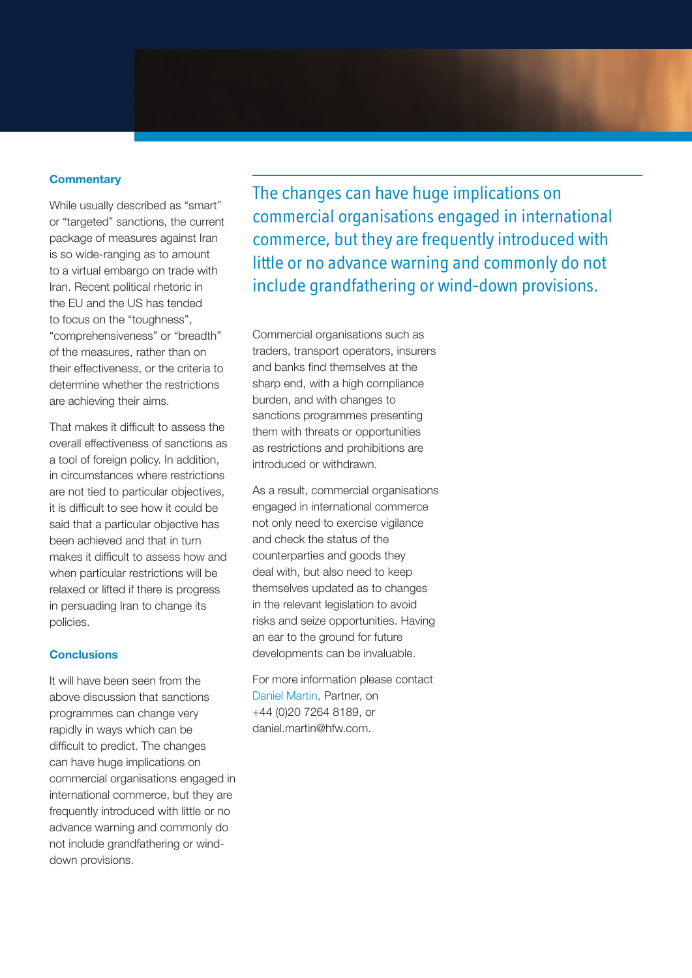#### **Commentary**

While usually described as "smart" or "targeted" sanctions, the current package of measures against Iran is so wide-ranging as to amount to a virtual embargo on trade with Iran. Recent political rhetoric in the EU and the US has tended to focus on the "toughness", "comprehensiveness" or "breadth" of the measures, rather than on their effectiveness, or the criteria to determine whether the restrictions are achieving their aims.

That makes it difficult to assess the overall effectiveness of sanctions as a tool of foreign policy. In addition, in circumstances where restrictions are not tied to particular objectives, it is difficult to see how it could be said that a particular objective has been achieved and that in turn makes it difficult to assess how and when particular restrictions will be relaxed or lifted if there is progress in persuading Iran to change its policies.

### **Conclusions**

It will have been seen from the above discussion that sanctions programmes can change very rapidly in ways which can be difficult to predict. The changes can have huge implications on commercial organisations engaged in international commerce, but they are frequently introduced with little or no advance warning and commonly do not include grandfathering or winddown provisions.

The changes can have huge implications on commercial organisations engaged in international commerce, but they are frequently introduced with little or no advance warning and commonly do not include grandfathering or wind-down provisions.

Commercial organisations such as traders, transport operators, insurers and banks find themselves at the sharp end, with a high compliance burden, and with changes to sanctions programmes presenting them with threats or opportunities as restrictions and prohibitions are introduced or withdrawn.

As a result, commercial organisations engaged in international commerce not only need to exercise vigilance and check the status of the counterparties and goods they deal with, but also need to keep themselves updated as to changes in the relevant legislation to avoid risks and seize opportunities. Having an ear to the ground for future developments can be invaluable.

For more information please contact Daniel Martin, Partner, on +44 (0)20 7264 8189, or daniel.martin@hfw.com.